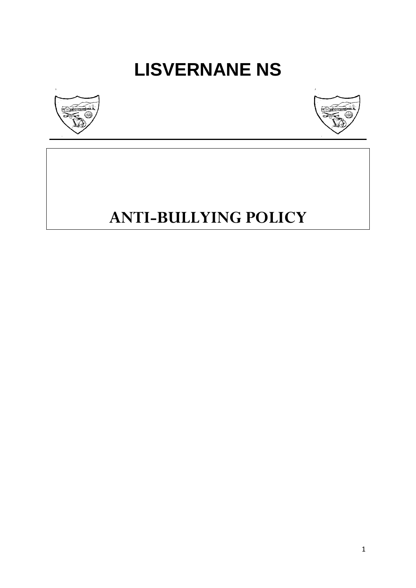# **LISVERNANE NS**





# **ANTI-BULLYING POLICY**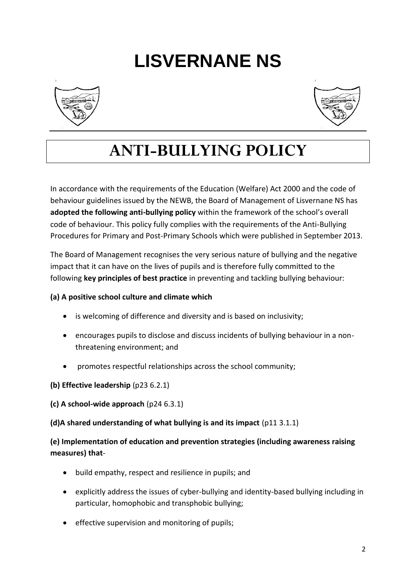# **LISVERNANE NS**





# **ANTI-BULLYING POLICY**

In accordance with the requirements of the Education (Welfare) Act 2000 and the code of behaviour guidelines issued by the NEWB, the Board of Management of Lisvernane NS has **adopted the following anti-bullying policy** within the framework of the school's overall code of behaviour. This policy fully complies with the requirements of the Anti-Bullying Procedures for Primary and Post-Primary Schools which were published in September 2013.

The Board of Management recognises the very serious nature of bullying and the negative impact that it can have on the lives of pupils and is therefore fully committed to the following **key principles of best practice** in preventing and tackling bullying behaviour:

#### **(a) A positive school culture and climate which**

- is welcoming of difference and diversity and is based on inclusivity;
- encourages pupils to disclose and discuss incidents of bullying behaviour in a nonthreatening environment; and
- promotes respectful relationships across the school community;
- **(b) Effective leadership** (p23 6.2.1)
- **(c) A school-wide approach** (p24 6.3.1)
- **(d)A shared understanding of what bullying is and its impact** (p11 3.1.1)

**(e) Implementation of education and prevention strategies (including awareness raising measures) that**-

- build empathy, respect and resilience in pupils; and
- explicitly address the issues of cyber-bullying and identity-based bullying including in particular, homophobic and transphobic bullying;
- effective supervision and monitoring of pupils;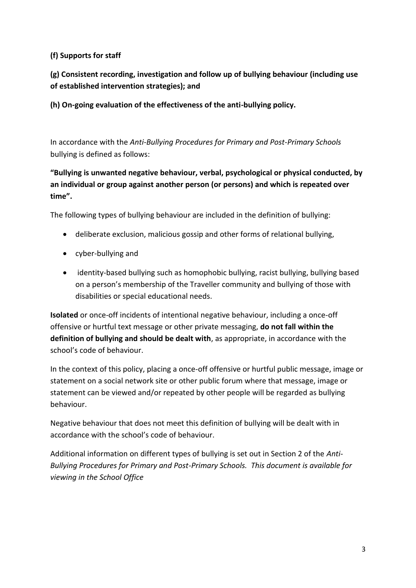#### **(f) Supports for staff**

**(g) Consistent recording, investigation and follow up of bullying behaviour (including use of established intervention strategies); and**

**(h) On-going evaluation of the effectiveness of the anti-bullying policy.**

In accordance with the *Anti-Bullying Procedures for Primary and Post-Primary Schools* bullying is defined as follows:

**"Bullying is unwanted negative behaviour, verbal, psychological or physical conducted, by an individual or group against another person (or persons) and which is repeated over time".**

The following types of bullying behaviour are included in the definition of bullying:

- deliberate exclusion, malicious gossip and other forms of relational bullying,
- cyber-bullying and
- identity-based bullying such as homophobic bullying, racist bullying, bullying based on a person's membership of the Traveller community and bullying of those with disabilities or special educational needs.

**Isolated** or once-off incidents of intentional negative behaviour, including a once-off offensive or hurtful text message or other private messaging, **do not fall within the definition of bullying and should be dealt with**, as appropriate, in accordance with the school's code of behaviour.

In the context of this policy, placing a once-off offensive or hurtful public message, image or statement on a social network site or other public forum where that message, image or statement can be viewed and/or repeated by other people will be regarded as bullying behaviour.

Negative behaviour that does not meet this definition of bullying will be dealt with in accordance with the school's code of behaviour.

Additional information on different types of bullying is set out in Section 2 of the *Anti-Bullying Procedures for Primary and Post-Primary Schools. This document is available for viewing in the School Office*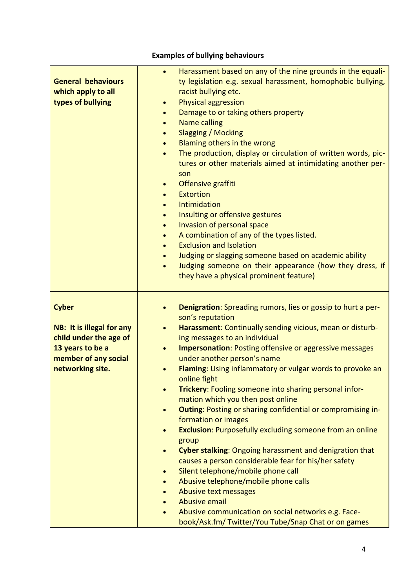# **Examples of bullying behaviours**

| Harassment based on any of the nine grounds in the equali-<br>$\bullet$<br>ty legislation e.g. sexual harassment, homophobic bullying,<br>racist bullying etc.<br><b>Physical aggression</b><br>$\bullet$<br>Damage to or taking others property<br>$\bullet$<br><b>Name calling</b><br>$\bullet$<br><b>Slagging / Mocking</b><br>$\bullet$<br>Blaming others in the wrong<br>The production, display or circulation of written words, pic-<br>$\bullet$<br>tures or other materials aimed at intimidating another per-<br>son<br>Offensive graffiti<br>$\bullet$<br><b>Extortion</b><br>$\bullet$<br>Intimidation<br>Insulting or offensive gestures<br>$\bullet$<br>Invasion of personal space<br>$\bullet$<br>A combination of any of the types listed.<br>$\bullet$<br><b>Exclusion and Isolation</b><br>$\bullet$<br>Judging or slagging someone based on academic ability<br>$\bullet$<br>Judging someone on their appearance (how they dress, if<br>$\bullet$<br>they have a physical prominent feature)                                                                                                                        |
|----------------------------------------------------------------------------------------------------------------------------------------------------------------------------------------------------------------------------------------------------------------------------------------------------------------------------------------------------------------------------------------------------------------------------------------------------------------------------------------------------------------------------------------------------------------------------------------------------------------------------------------------------------------------------------------------------------------------------------------------------------------------------------------------------------------------------------------------------------------------------------------------------------------------------------------------------------------------------------------------------------------------------------------------------------------------------------------------------------------------------------------|
| Denigration: Spreading rumors, lies or gossip to hurt a per-<br>$\bullet$<br>son's reputation<br>Harassment: Continually sending vicious, mean or disturb-<br>$\bullet$<br>ing messages to an individual<br><b>Impersonation: Posting offensive or aggressive messages</b><br>$\bullet$<br>under another person's name<br>Flaming: Using inflammatory or vulgar words to provoke an<br>online fight<br><b>Trickery:</b> Fooling someone into sharing personal infor-<br>$\bullet$<br>mation which you then post online<br><b>Outing: Posting or sharing confidential or compromising in-</b><br>$\bullet$<br>formation or images<br><b>Exclusion:</b> Purposefully excluding someone from an online<br>$\bullet$<br>group<br><b>Cyber stalking: Ongoing harassment and denigration that</b><br>$\bullet$<br>causes a person considerable fear for his/her safety<br>Silent telephone/mobile phone call<br>$\bullet$<br>Abusive telephone/mobile phone calls<br>$\bullet$<br>Abusive text messages<br><b>Abusive email</b><br>Abusive communication on social networks e.g. Face-<br>book/Ask.fm/Twitter/You Tube/Snap Chat or on games |
|                                                                                                                                                                                                                                                                                                                                                                                                                                                                                                                                                                                                                                                                                                                                                                                                                                                                                                                                                                                                                                                                                                                                        |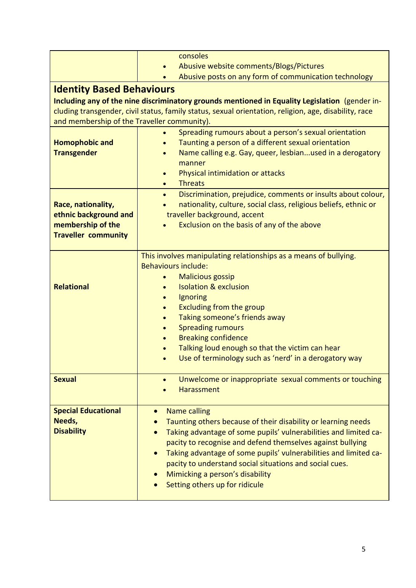|                                                                                                       | consoles                                                                      |  |  |  |  |
|-------------------------------------------------------------------------------------------------------|-------------------------------------------------------------------------------|--|--|--|--|
|                                                                                                       | Abusive website comments/Blogs/Pictures                                       |  |  |  |  |
|                                                                                                       | Abusive posts on any form of communication technology                         |  |  |  |  |
|                                                                                                       |                                                                               |  |  |  |  |
| <b>Identity Based Behaviours</b>                                                                      |                                                                               |  |  |  |  |
| Including any of the nine discriminatory grounds mentioned in Equality Legislation (gender in-        |                                                                               |  |  |  |  |
| cluding transgender, civil status, family status, sexual orientation, religion, age, disability, race |                                                                               |  |  |  |  |
| and membership of the Traveller community).                                                           |                                                                               |  |  |  |  |
|                                                                                                       | Spreading rumours about a person's sexual orientation                         |  |  |  |  |
| <b>Homophobic and</b><br><b>Transgender</b>                                                           | Taunting a person of a different sexual orientation                           |  |  |  |  |
|                                                                                                       | Name calling e.g. Gay, queer, lesbianused in a derogatory                     |  |  |  |  |
|                                                                                                       | manner<br>Physical intimidation or attacks                                    |  |  |  |  |
|                                                                                                       | $\bullet$<br><b>Threats</b><br>$\bullet$                                      |  |  |  |  |
|                                                                                                       | Discrimination, prejudice, comments or insults about colour,<br>$\bullet$     |  |  |  |  |
| Race, nationality,                                                                                    | nationality, culture, social class, religious beliefs, ethnic or              |  |  |  |  |
| ethnic background and                                                                                 | traveller background, accent                                                  |  |  |  |  |
| membership of the                                                                                     | Exclusion on the basis of any of the above                                    |  |  |  |  |
| <b>Traveller community</b>                                                                            |                                                                               |  |  |  |  |
|                                                                                                       |                                                                               |  |  |  |  |
|                                                                                                       | This involves manipulating relationships as a means of bullying.              |  |  |  |  |
|                                                                                                       | <b>Behaviours include:</b>                                                    |  |  |  |  |
|                                                                                                       | <b>Malicious gossip</b>                                                       |  |  |  |  |
| <b>Relational</b>                                                                                     | <b>Isolation &amp; exclusion</b>                                              |  |  |  |  |
|                                                                                                       | Ignoring                                                                      |  |  |  |  |
|                                                                                                       | <b>Excluding from the group</b><br>$\bullet$                                  |  |  |  |  |
|                                                                                                       | Taking someone's friends away                                                 |  |  |  |  |
|                                                                                                       | <b>Spreading rumours</b>                                                      |  |  |  |  |
|                                                                                                       | <b>Breaking confidence</b>                                                    |  |  |  |  |
|                                                                                                       | Talking loud enough so that the victim can hear                               |  |  |  |  |
|                                                                                                       | Use of terminology such as 'nerd' in a derogatory way                         |  |  |  |  |
|                                                                                                       |                                                                               |  |  |  |  |
| <b>Sexual</b>                                                                                         | Unwelcome or inappropriate sexual comments or touching                        |  |  |  |  |
|                                                                                                       | Harassment                                                                    |  |  |  |  |
|                                                                                                       |                                                                               |  |  |  |  |
| <b>Special Educational</b>                                                                            | <b>Name calling</b><br>$\bullet$                                              |  |  |  |  |
| Needs,                                                                                                | Taunting others because of their disability or learning needs                 |  |  |  |  |
| <b>Disability</b>                                                                                     | Taking advantage of some pupils' vulnerabilities and limited ca-              |  |  |  |  |
|                                                                                                       | pacity to recognise and defend themselves against bullying                    |  |  |  |  |
|                                                                                                       | Taking advantage of some pupils' vulnerabilities and limited ca-<br>$\bullet$ |  |  |  |  |
|                                                                                                       | pacity to understand social situations and social cues.                       |  |  |  |  |
|                                                                                                       | Mimicking a person's disability                                               |  |  |  |  |
|                                                                                                       | Setting others up for ridicule                                                |  |  |  |  |
|                                                                                                       |                                                                               |  |  |  |  |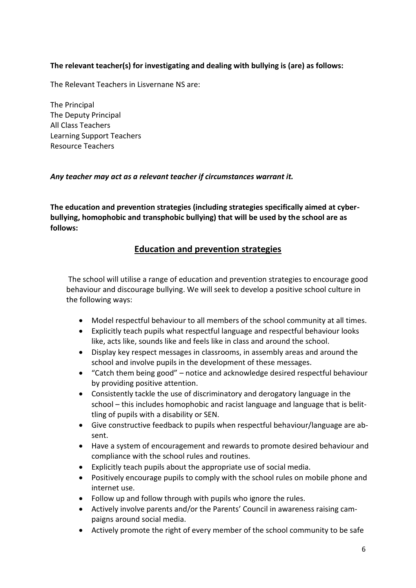#### **The relevant teacher(s) for investigating and dealing with bullying is (are) as follows:**

The Relevant Teachers in Lisvernane NS are:

The Principal The Deputy Principal All Class Teachers Learning Support Teachers Resource Teachers

#### *Any teacher may act as a relevant teacher if circumstances warrant it.*

**The education and prevention strategies (including strategies specifically aimed at cyberbullying, homophobic and transphobic bullying) that will be used by the school are as follows:** 

#### **Education and prevention strategies**

The school will utilise a range of education and prevention strategies to encourage good behaviour and discourage bullying. We will seek to develop a positive school culture in the following ways:

- Model respectful behaviour to all members of the school community at all times.
- Explicitly teach pupils what respectful language and respectful behaviour looks like, acts like, sounds like and feels like in class and around the school.
- Display key respect messages in classrooms, in assembly areas and around the school and involve pupils in the development of these messages.
- "Catch them being good" notice and acknowledge desired respectful behaviour by providing positive attention.
- Consistently tackle the use of discriminatory and derogatory language in the school – this includes homophobic and racist language and language that is belittling of pupils with a disability or SEN.
- Give constructive feedback to pupils when respectful behaviour/language are absent.
- Have a system of encouragement and rewards to promote desired behaviour and compliance with the school rules and routines.
- Explicitly teach pupils about the appropriate use of social media.
- Positively encourage pupils to comply with the school rules on mobile phone and internet use.
- Follow up and follow through with pupils who ignore the rules.
- Actively involve parents and/or the Parents' Council in awareness raising campaigns around social media.
- Actively promote the right of every member of the school community to be safe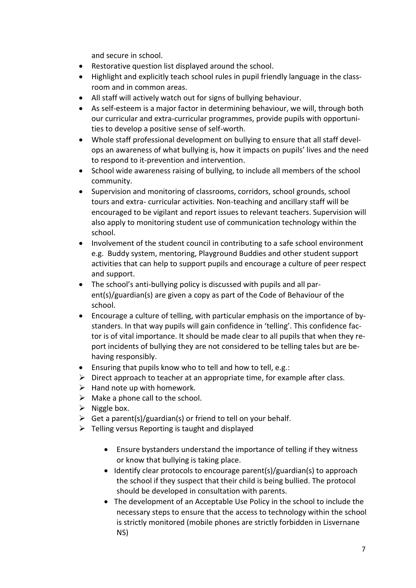and secure in school.

- Restorative question list displayed around the school.
- Highlight and explicitly teach school rules in pupil friendly language in the classroom and in common areas.
- All staff will actively watch out for signs of bullying behaviour.
- As self-esteem is a major factor in determining behaviour, we will, through both our curricular and extra-curricular programmes, provide pupils with opportunities to develop a positive sense of self-worth.
- Whole staff professional development on bullying to ensure that all staff develops an awareness of what bullying is, how it impacts on pupils' lives and the need to respond to it-prevention and intervention.
- School wide awareness raising of bullying, to include all members of the school community.
- Supervision and monitoring of classrooms, corridors, school grounds, school tours and extra- curricular activities. Non-teaching and ancillary staff will be encouraged to be vigilant and report issues to relevant teachers. Supervision will also apply to monitoring student use of communication technology within the school.
- Involvement of the student council in contributing to a safe school environment e.g. Buddy system, mentoring, Playground Buddies and other student support activities that can help to support pupils and encourage a culture of peer respect and support.
- The school's anti-bullying policy is discussed with pupils and all parent(s)/guardian(s) are given a copy as part of the Code of Behaviour of the school.
- Encourage a culture of telling, with particular emphasis on the importance of bystanders. In that way pupils will gain confidence in 'telling'. This confidence factor is of vital importance. It should be made clear to all pupils that when they report incidents of bullying they are not considered to be telling tales but are behaving responsibly.
- Ensuring that pupils know who to tell and how to tell, e.g.:
- $\triangleright$  Direct approach to teacher at an appropriate time, for example after class.
- $\triangleright$  Hand note up with homework.
- $\triangleright$  Make a phone call to the school.
- $\triangleright$  Niggle box.
- $\triangleright$  Get a parent(s)/guardian(s) or friend to tell on your behalf.
- $\triangleright$  Telling versus Reporting is taught and displayed
	- Ensure bystanders understand the importance of telling if they witness or know that bullying is taking place.
	- Identify clear protocols to encourage parent(s)/guardian(s) to approach the school if they suspect that their child is being bullied. The protocol should be developed in consultation with parents.
	- The development of an Acceptable Use Policy in the school to include the necessary steps to ensure that the access to technology within the school is strictly monitored (mobile phones are strictly forbidden in Lisvernane NS)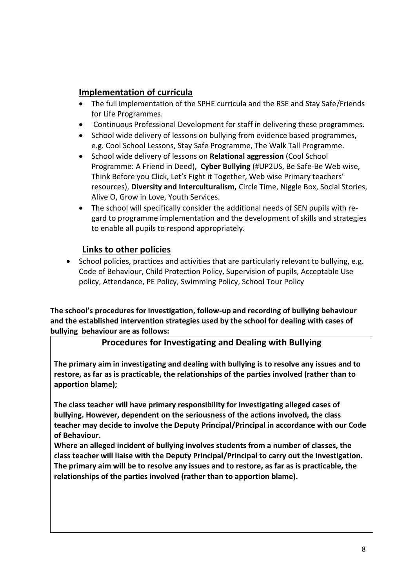# **Implementation of curricula**

- The full implementation of the SPHE curricula and the RSE and Stay Safe/Friends for Life Programmes.
- Continuous Professional Development for staff in delivering these programmes.
- School wide delivery of lessons on bullying from evidence based programmes, e.g. Cool School Lessons, Stay Safe Programme, The Walk Tall Programme.
- School wide delivery of lessons on **Relational aggression** (Cool School Programme: A Friend in Deed), **Cyber Bullying** (#UP2US, Be Safe-Be Web wise, Think Before you Click, Let's Fight it Together, Web wise Primary teachers' resources), **Diversity and Interculturalism,** Circle Time, Niggle Box, Social Stories, Alive O, Grow in Love, Youth Services.
- The school will specifically consider the additional needs of SEN pupils with regard to programme implementation and the development of skills and strategies to enable all pupils to respond appropriately.

### **Links to other policies**

• School policies, practices and activities that are particularly relevant to bullying, e.g. Code of Behaviour, Child Protection Policy, Supervision of pupils, Acceptable Use policy, Attendance, PE Policy, Swimming Policy, School Tour Policy

**The school's procedures for investigation, follow-up and recording of bullying behaviour and the established intervention strategies used by the school for dealing with cases of bullying behaviour are as follows:** 

**Procedures for Investigating and Dealing with Bullying**

**The primary aim in investigating and dealing with bullying is to resolve any issues and to restore, as far as is practicable, the relationships of the parties involved (rather than to apportion blame);**

**The class teacher will have primary responsibility for investigating alleged cases of bullying. However, dependent on the seriousness of the actions involved, the class teacher may decide to involve the Deputy Principal/Principal in accordance with our Code of Behaviour.** 

**Where an alleged incident of bullying involves students from a number of classes, the class teacher will liaise with the Deputy Principal/Principal to carry out the investigation. The primary aim will be to resolve any issues and to restore, as far as is practicable, the relationships of the parties involved (rather than to apportion blame).**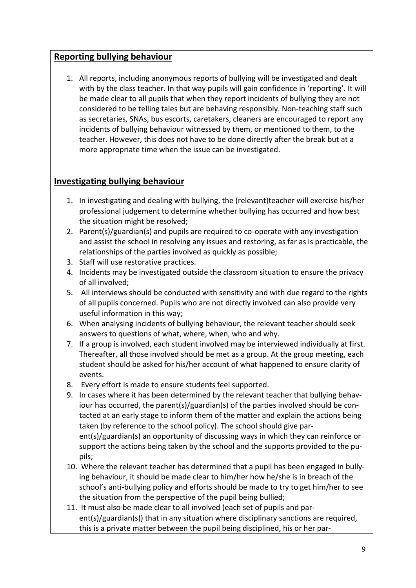### **Reporting bullying behaviour**

1. All reports, including anonymous reports of bullying will be investigated and dealt with by the class teacher. In that way pupils will gain confidence in 'reporting'. It will be made clear to all pupils that when they report incidents of bullying they are not considered to be telling tales but are behaving responsibly. Non-teaching staff such as secretaries, SNAs, bus escorts, caretakers, cleaners are encouraged to report any incidents of bullying behaviour witnessed by them, or mentioned to them, to the teacher. However, this does not have to be done directly after the break but at a more appropriate time when the issue can be investigated.

# **Investigating bullying behaviour**

- 1. In investigating and dealing with bullying, the (relevant)teacher will exercise his/her professional judgement to determine whether bullying has occurred and how best the situation might be resolved;
- 2. Parent(s)/guardian(s) and pupils are required to co-operate with any investigation and assist the school in resolving any issues and restoring, as far as is practicable, the relationships of the parties involved as quickly as possible;
- 3. Staff will use restorative practices.
- 4. Incidents may be investigated outside the classroom situation to ensure the privacy of all involved;
- 5. All interviews should be conducted with sensitivity and with due regard to the rights of all pupils concerned. Pupils who are not directly involved can also provide very useful information in this way;
- 6. When analysing incidents of bullying behaviour, the relevant teacher should seek answers to questions of what, where, when, who and why.
- 7. If a group is involved, each student involved may be interviewed individually at first. Thereafter, all those involved should be met as a group. At the group meeting, each student should be asked for his/her account of what happened to ensure clarity of events.
- 8. Every effort is made to ensure students feel supported.
- 9. In cases where it has been determined by the relevant teacher that bullying behaviour has occurred, the parent(s)/guardian(s) of the parties involved should be contacted at an early stage to inform them of the matter and explain the actions being taken (by reference to the school policy). The school should give parent(s)/guardian(s) an opportunity of discussing ways in which they can reinforce or support the actions being taken by the school and the supports provided to the pupils;
- 10. Where the relevant teacher has determined that a pupil has been engaged in bullying behaviour, it should be made clear to him/her how he/she is in breach of the school's anti-bullying policy and efforts should be made to try to get him/her to see the situation from the perspective of the pupil being bullied;
- 11. It must also be made clear to all involved (each set of pupils and parent(s)/guardian(s)) that in any situation where disciplinary sanctions are required, this is a private matter between the pupil being disciplined, his or her par-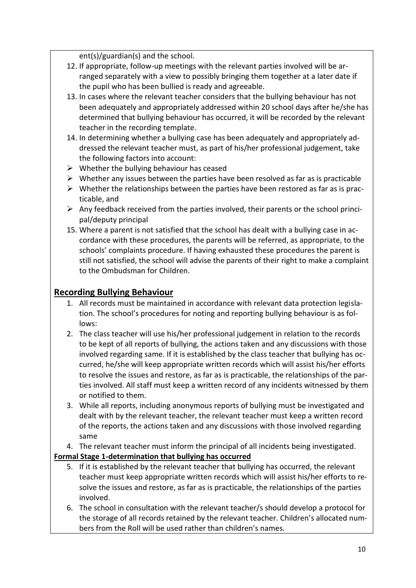ent(s)/guardian(s) and the school.

- 12. If appropriate, follow-up meetings with the relevant parties involved will be arranged separately with a view to possibly bringing them together at a later date if the pupil who has been bullied is ready and agreeable.
- 13. In cases where the relevant teacher considers that the bullying behaviour has not been adequately and appropriately addressed within 20 school days after he/she has determined that bullying behaviour has occurred, it will be recorded by the relevant teacher in the recording template.
- 14. In determining whether a bullying case has been adequately and appropriately addressed the relevant teacher must, as part of his/her professional judgement, take the following factors into account:
- $\triangleright$  Whether the bullying behaviour has ceased
- $\triangleright$  Whether any issues between the parties have been resolved as far as is practicable
- $\triangleright$  Whether the relationships between the parties have been restored as far as is practicable, and
- $\triangleright$  Any feedback received from the parties involved, their parents or the school principal/deputy principal
- 15. Where a parent is not satisfied that the school has dealt with a bullying case in accordance with these procedures, the parents will be referred, as appropriate, to the schools' complaints procedure. If having exhausted these procedures the parent is still not satisfied, the school will advise the parents of their right to make a complaint to the Ombudsman for Children.

# **Recording Bullying Behaviour**

- 1. All records must be maintained in accordance with relevant data protection legislation. The school's procedures for noting and reporting bullying behaviour is as follows:
- 2. The class teacher will use his/her professional judgement in relation to the records to be kept of all reports of bullying, the actions taken and any discussions with those involved regarding same. If it is established by the class teacher that bullying has occurred, he/she will keep appropriate written records which will assist his/her efforts to resolve the issues and restore, as far as is practicable, the relationships of the parties involved. All staff must keep a written record of any incidents witnessed by them or notified to them.
- 3. While all reports, including anonymous reports of bullying must be investigated and dealt with by the relevant teacher, the relevant teacher must keep a written record of the reports, the actions taken and any discussions with those involved regarding same
- 4. The relevant teacher must inform the principal of all incidents being investigated.

#### **Formal Stage 1-determination that bullying has occurred**

- 5. If it is established by the relevant teacher that bullying has occurred, the relevant teacher must keep appropriate written records which will assist his/her efforts to resolve the issues and restore, as far as is practicable, the relationships of the parties involved.
- 6. The school in consultation with the relevant teacher/s should develop a protocol for the storage of all records retained by the relevant teacher. Children's allocated numbers from the Roll will be used rather than children's names.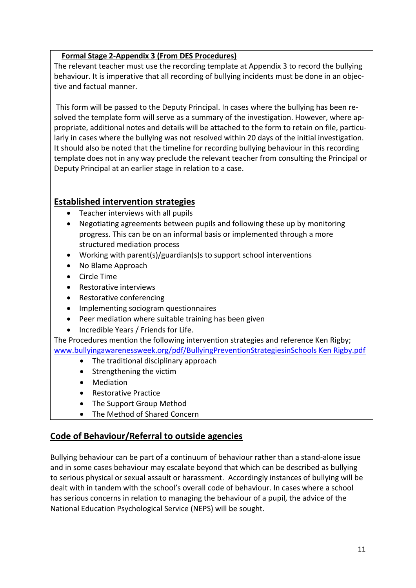#### **Formal Stage 2-Appendix 3 (From DES Procedures)**

The relevant teacher must use the recording template at Appendix 3 to record the bullying behaviour. It is imperative that all recording of bullying incidents must be done in an objective and factual manner.

This form will be passed to the Deputy Principal. In cases where the bullying has been resolved the template form will serve as a summary of the investigation. However, where appropriate, additional notes and details will be attached to the form to retain on file, particularly in cases where the bullying was not resolved within 20 days of the initial investigation. It should also be noted that the timeline for recording bullying behaviour in this recording template does not in any way preclude the relevant teacher from consulting the Principal or Deputy Principal at an earlier stage in relation to a case.

# **Established intervention strategies**

- Teacher interviews with all pupils
- Negotiating agreements between pupils and following these up by monitoring progress. This can be on an informal basis or implemented through a more structured mediation process
- Working with parent(s)/guardian(s)s to support school interventions
- No Blame Approach
- Circle Time
- Restorative interviews
- Restorative conferencing
- Implementing sociogram questionnaires
- Peer mediation where suitable training has been given
- Incredible Years / Friends for Life.

The Procedures mention the following intervention strategies and reference Ken Rigby; [www.bullyingawarenessweek.org/pdf/BullyingPreventionStrategiesinSchools Ken Rigby.pdf](http://www.bullyingawarenessweek.org/pdf/BullyingPreventionStrategiesinSchools%20Ken%20Rigby.pdf)

- The traditional disciplinary approach
- Strengthening the victim
- Mediation
- Restorative Practice
- The Support Group Method
- The Method of Shared Concern

# **Code of Behaviour/Referral to outside agencies**

Bullying behaviour can be part of a continuum of behaviour rather than a stand-alone issue and in some cases behaviour may escalate beyond that which can be described as bullying to serious physical or sexual assault or harassment. Accordingly instances of bullying will be dealt with in tandem with the school's overall code of behaviour. In cases where a school has serious concerns in relation to managing the behaviour of a pupil, the advice of the National Education Psychological Service (NEPS) will be sought.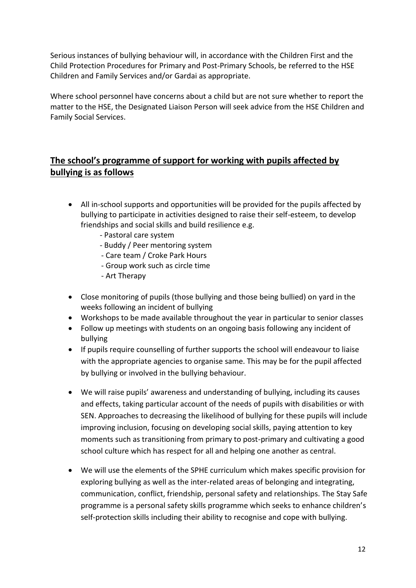Serious instances of bullying behaviour will, in accordance with the Children First and the Child Protection Procedures for Primary and Post-Primary Schools, be referred to the HSE Children and Family Services and/or Gardai as appropriate.

Where school personnel have concerns about a child but are not sure whether to report the matter to the HSE, the Designated Liaison Person will seek advice from the HSE Children and Family Social Services.

# **The school's programme of support for working with pupils affected by bullying is as follows**

- All in-school supports and opportunities will be provided for the pupils affected by bullying to participate in activities designed to raise their self-esteem, to develop friendships and social skills and build resilience e.g.
	- Pastoral care system
	- Buddy / Peer mentoring system
	- Care team / Croke Park Hours
	- Group work such as circle time
	- Art Therapy
- Close monitoring of pupils (those bullying and those being bullied) on yard in the weeks following an incident of bullying
- Workshops to be made available throughout the year in particular to senior classes
- Follow up meetings with students on an ongoing basis following any incident of bullying
- If pupils require counselling of further supports the school will endeavour to liaise with the appropriate agencies to organise same. This may be for the pupil affected by bullying or involved in the bullying behaviour.
- We will raise pupils' awareness and understanding of bullying, including its causes and effects, taking particular account of the needs of pupils with disabilities or with SEN. Approaches to decreasing the likelihood of bullying for these pupils will include improving inclusion, focusing on developing social skills, paying attention to key moments such as transitioning from primary to post-primary and cultivating a good school culture which has respect for all and helping one another as central.
- We will use the elements of the SPHE curriculum which makes specific provision for exploring bullying as well as the inter-related areas of belonging and integrating, communication, conflict, friendship, personal safety and relationships. The Stay Safe programme is a personal safety skills programme which seeks to enhance children's self-protection skills including their ability to recognise and cope with bullying.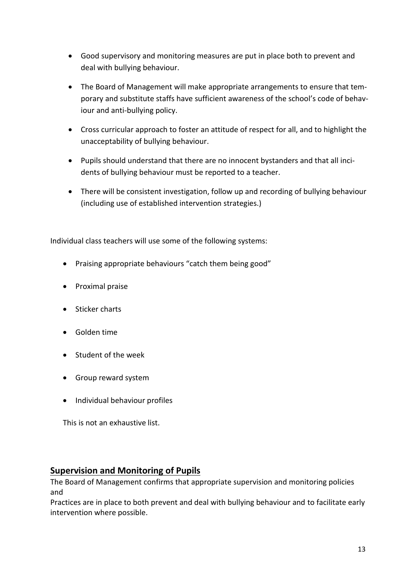- Good supervisory and monitoring measures are put in place both to prevent and deal with bullying behaviour.
- The Board of Management will make appropriate arrangements to ensure that temporary and substitute staffs have sufficient awareness of the school's code of behaviour and anti-bullying policy.
- Cross curricular approach to foster an attitude of respect for all, and to highlight the unacceptability of bullying behaviour.
- Pupils should understand that there are no innocent bystanders and that all incidents of bullying behaviour must be reported to a teacher.
- There will be consistent investigation, follow up and recording of bullying behaviour (including use of established intervention strategies.)

Individual class teachers will use some of the following systems:

- Praising appropriate behaviours "catch them being good"
- Proximal praise
- Sticker charts
- Golden time
- Student of the week
- Group reward system
- Individual behaviour profiles

This is not an exhaustive list.

#### **Supervision and Monitoring of Pupils**

The Board of Management confirms that appropriate supervision and monitoring policies and

Practices are in place to both prevent and deal with bullying behaviour and to facilitate early intervention where possible.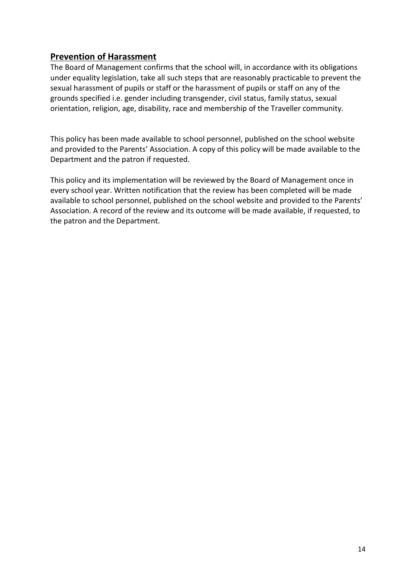#### **Prevention of Harassment**

The Board of Management confirms that the school will, in accordance with its obligations under equality legislation, take all such steps that are reasonably practicable to prevent the sexual harassment of pupils or staff or the harassment of pupils or staff on any of the grounds specified i.e. gender including transgender, civil status, family status, sexual orientation, religion, age, disability, race and membership of the Traveller community.

This policy has been made available to school personnel, published on the school website and provided to the Parents' Association. A copy of this policy will be made available to the Department and the patron if requested.

This policy and its implementation will be reviewed by the Board of Management once in every school year. Written notification that the review has been completed will be made available to school personnel, published on the school website and provided to the Parents' Association. A record of the review and its outcome will be made available, if requested, to the patron and the Department.